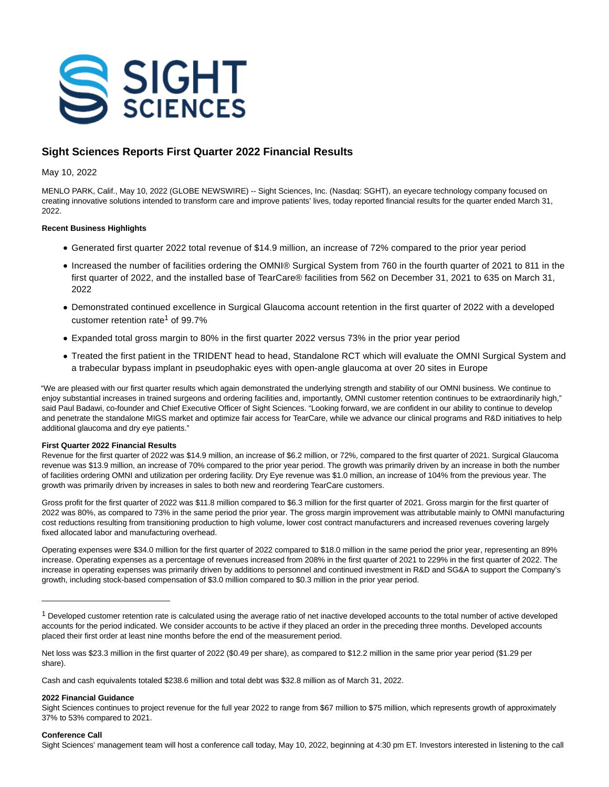

# **Sight Sciences Reports First Quarter 2022 Financial Results**

# May 10, 2022

MENLO PARK, Calif., May 10, 2022 (GLOBE NEWSWIRE) -- Sight Sciences, Inc. (Nasdaq: SGHT), an eyecare technology company focused on creating innovative solutions intended to transform care and improve patients' lives, today reported financial results for the quarter ended March 31, 2022.

## **Recent Business Highlights**

- Generated first quarter 2022 total revenue of \$14.9 million, an increase of 72% compared to the prior year period
- Increased the number of facilities ordering the OMNI® Surgical System from 760 in the fourth quarter of 2021 to 811 in the first quarter of 2022, and the installed base of TearCare® facilities from 562 on December 31, 2021 to 635 on March 31, 2022
- Demonstrated continued excellence in Surgical Glaucoma account retention in the first quarter of 2022 with a developed customer retention rate<sup>1</sup> of 99.7%
- Expanded total gross margin to 80% in the first quarter 2022 versus 73% in the prior year period
- Treated the first patient in the TRIDENT head to head, Standalone RCT which will evaluate the OMNI Surgical System and a trabecular bypass implant in pseudophakic eyes with open-angle glaucoma at over 20 sites in Europe

"We are pleased with our first quarter results which again demonstrated the underlying strength and stability of our OMNI business. We continue to enjoy substantial increases in trained surgeons and ordering facilities and, importantly, OMNI customer retention continues to be extraordinarily high," said Paul Badawi, co-founder and Chief Executive Officer of Sight Sciences. "Looking forward, we are confident in our ability to continue to develop and penetrate the standalone MIGS market and optimize fair access for TearCare, while we advance our clinical programs and R&D initiatives to help additional glaucoma and dry eye patients."

## **First Quarter 2022 Financial Results**

\_\_\_\_\_\_\_\_\_\_\_\_\_\_\_\_\_\_\_\_\_\_\_\_\_\_\_\_\_

Revenue for the first quarter of 2022 was \$14.9 million, an increase of \$6.2 million, or 72%, compared to the first quarter of 2021. Surgical Glaucoma revenue was \$13.9 million, an increase of 70% compared to the prior year period. The growth was primarily driven by an increase in both the number of facilities ordering OMNI and utilization per ordering facility. Dry Eye revenue was \$1.0 million, an increase of 104% from the previous year. The growth was primarily driven by increases in sales to both new and reordering TearCare customers.

Gross profit for the first quarter of 2022 was \$11.8 million compared to \$6.3 million for the first quarter of 2021. Gross margin for the first quarter of 2022 was 80%, as compared to 73% in the same period the prior year. The gross margin improvement was attributable mainly to OMNI manufacturing cost reductions resulting from transitioning production to high volume, lower cost contract manufacturers and increased revenues covering largely fixed allocated labor and manufacturing overhead.

Operating expenses were \$34.0 million for the first quarter of 2022 compared to \$18.0 million in the same period the prior year, representing an 89% increase. Operating expenses as a percentage of revenues increased from 208% in the first quarter of 2021 to 229% in the first quarter of 2022. The increase in operating expenses was primarily driven by additions to personnel and continued investment in R&D and SG&A to support the Company's growth, including stock-based compensation of \$3.0 million compared to \$0.3 million in the prior year period.

Net loss was \$23.3 million in the first quarter of 2022 (\$0.49 per share), as compared to \$12.2 million in the same prior year period (\$1.29 per share).

Cash and cash equivalents totaled \$238.6 million and total debt was \$32.8 million as of March 31, 2022.

## **2022 Financial Guidance**

Sight Sciences continues to project revenue for the full year 2022 to range from \$67 million to \$75 million, which represents growth of approximately 37% to 53% compared to 2021.

## **Conference Call**

Sight Sciences' management team will host a conference call today, May 10, 2022, beginning at 4:30 pm ET. Investors interested in listening to the call

<sup>&</sup>lt;sup>1</sup> Developed customer retention rate is calculated using the average ratio of net inactive developed accounts to the total number of active developed accounts for the period indicated. We consider accounts to be active if they placed an order in the preceding three months. Developed accounts placed their first order at least nine months before the end of the measurement period.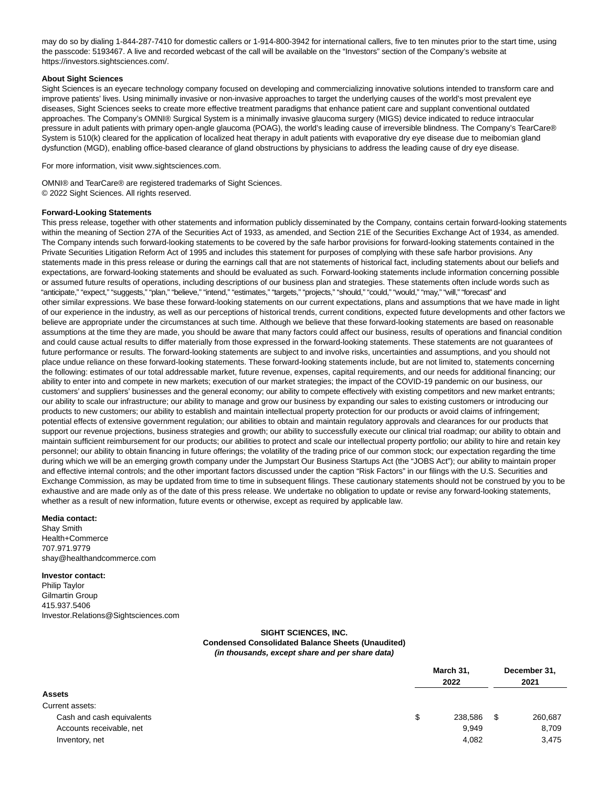may do so by dialing 1-844-287-7410 for domestic callers or 1-914-800-3942 for international callers, five to ten minutes prior to the start time, using the passcode: 5193467. A live and recorded webcast of the call will be available on the "Investors" section of the Company's website at https://investors.sightsciences.com/.

## **About Sight Sciences**

Sight Sciences is an eyecare technology company focused on developing and commercializing innovative solutions intended to transform care and improve patients' lives. Using minimally invasive or non-invasive approaches to target the underlying causes of the world's most prevalent eye diseases, Sight Sciences seeks to create more effective treatment paradigms that enhance patient care and supplant conventional outdated approaches. The Company's OMNI® Surgical System is a minimally invasive glaucoma surgery (MIGS) device indicated to reduce intraocular pressure in adult patients with primary open-angle glaucoma (POAG), the world's leading cause of irreversible blindness. The Company's TearCare® System is 510(k) cleared for the application of localized heat therapy in adult patients with evaporative dry eye disease due to meibomian gland dysfunction (MGD), enabling office-based clearance of gland obstructions by physicians to address the leading cause of dry eye disease.

For more information, visit www.sightsciences.com.

OMNI® and TearCare® are registered trademarks of Sight Sciences. © 2022 Sight Sciences. All rights reserved.

## **Forward-Looking Statements**

This press release, together with other statements and information publicly disseminated by the Company, contains certain forward-looking statements within the meaning of Section 27A of the Securities Act of 1933, as amended, and Section 21E of the Securities Exchange Act of 1934, as amended. The Company intends such forward-looking statements to be covered by the safe harbor provisions for forward-looking statements contained in the Private Securities Litigation Reform Act of 1995 and includes this statement for purposes of complying with these safe harbor provisions. Any statements made in this press release or during the earnings call that are not statements of historical fact, including statements about our beliefs and expectations, are forward-looking statements and should be evaluated as such. Forward-looking statements include information concerning possible or assumed future results of operations, including descriptions of our business plan and strategies. These statements often include words such as "anticipate," "expect," "suggests," "plan," "believe," "intend," "estimates," "targets," "projects," "should," "could," "would," "may," "will," "forecast" and other similar expressions. We base these forward-looking statements on our current expectations, plans and assumptions that we have made in light of our experience in the industry, as well as our perceptions of historical trends, current conditions, expected future developments and other factors we believe are appropriate under the circumstances at such time. Although we believe that these forward-looking statements are based on reasonable assumptions at the time they are made, you should be aware that many factors could affect our business, results of operations and financial condition and could cause actual results to differ materially from those expressed in the forward-looking statements. These statements are not guarantees of future performance or results. The forward-looking statements are subject to and involve risks, uncertainties and assumptions, and you should not place undue reliance on these forward-looking statements. These forward-looking statements include, but are not limited to, statements concerning the following: estimates of our total addressable market, future revenue, expenses, capital requirements, and our needs for additional financing; our ability to enter into and compete in new markets; execution of our market strategies; the impact of the COVID-19 pandemic on our business, our customers' and suppliers' businesses and the general economy; our ability to compete effectively with existing competitors and new market entrants; our ability to scale our infrastructure; our ability to manage and grow our business by expanding our sales to existing customers or introducing our products to new customers; our ability to establish and maintain intellectual property protection for our products or avoid claims of infringement; potential effects of extensive government regulation; our abilities to obtain and maintain regulatory approvals and clearances for our products that support our revenue projections, business strategies and growth; our ability to successfully execute our clinical trial roadmap; our ability to obtain and maintain sufficient reimbursement for our products; our abilities to protect and scale our intellectual property portfolio; our ability to hire and retain key personnel; our ability to obtain financing in future offerings; the volatility of the trading price of our common stock; our expectation regarding the time during which we will be an emerging growth company under the Jumpstart Our Business Startups Act (the "JOBS Act"); our ability to maintain proper and effective internal controls; and the other important factors discussed under the caption "Risk Factors" in our filings with the U.S. Securities and Exchange Commission, as may be updated from time to time in subsequent filings. These cautionary statements should not be construed by you to be exhaustive and are made only as of the date of this press release. We undertake no obligation to update or revise any forward-looking statements, whether as a result of new information, future events or otherwise, except as required by applicable law.

#### **Media contact:**

Shay Smith Health+Commerce 707.971.9779 shay@healthandcommerce.com

#### **Investor contact:**

Philip Taylor Gilmartin Group 415.937.5406 Investor.Relations@Sightsciences.com

#### **SIGHT SCIENCES, INC. Condensed Consolidated Balance Sheets (Unaudited) (in thousands, except share and per share data)**

|                           |    | March 31,<br>2022 |      | December 31,<br>2021 |  |
|---------------------------|----|-------------------|------|----------------------|--|
| Assets                    |    |                   |      |                      |  |
| Current assets:           |    |                   |      |                      |  |
| Cash and cash equivalents | \$ | 238,586           | - \$ | 260,687              |  |
| Accounts receivable, net  |    | 9,949             |      | 8,709                |  |
| Inventory, net            |    | 4,082             |      | 3,475                |  |